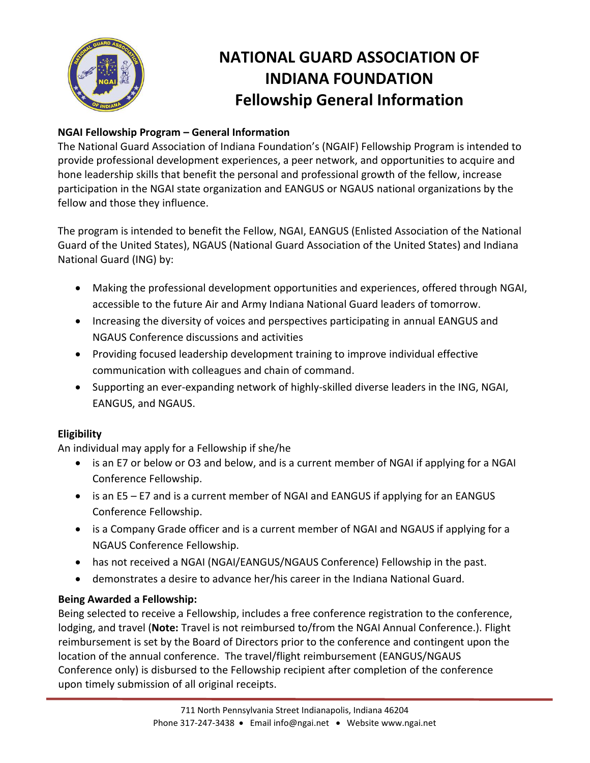

# **NATIONAL GUARD ASSOCIATION OF INDIANA FOUNDATION Fellowship General Information**

### **NGAI Fellowship Program – General Information**

The National Guard Association of Indiana Foundation's (NGAIF) Fellowship Program is intended to provide professional development experiences, a peer network, and opportunities to acquire and hone leadership skills that benefit the personal and professional growth of the fellow, increase participation in the NGAI state organization and EANGUS or NGAUS national organizations by the fellow and those they influence.

The program is intended to benefit the Fellow, NGAI, EANGUS (Enlisted Association of the National Guard of the United States), NGAUS (National Guard Association of the United States) and Indiana National Guard (ING) by:

- Making the professional development opportunities and experiences, offered through NGAI, accessible to the future Air and Army Indiana National Guard leaders of tomorrow.
- Increasing the diversity of voices and perspectives participating in annual EANGUS and NGAUS Conference discussions and activities
- Providing focused leadership development training to improve individual effective communication with colleagues and chain of command.
- Supporting an ever-expanding network of highly-skilled diverse leaders in the ING, NGAI, EANGUS, and NGAUS.

## **Eligibility**

An individual may apply for a Fellowship if she/he

- is an E7 or below or O3 and below, and is a current member of NGAI if applying for a NGAI Conference Fellowship.
- is an E5 E7 and is a current member of NGAI and EANGUS if applying for an EANGUS Conference Fellowship.
- is a Company Grade officer and is a current member of NGAI and NGAUS if applying for a NGAUS Conference Fellowship.
- has not received a NGAI (NGAI/EANGUS/NGAUS Conference) Fellowship in the past.
- demonstrates a desire to advance her/his career in the Indiana National Guard.

#### **Being Awarded a Fellowship:**

Being selected to receive a Fellowship, includes a free conference registration to the conference, lodging, and travel (**Note:** Travel is not reimbursed to/from the NGAI Annual Conference.). Flight reimbursement is set by the Board of Directors prior to the conference and contingent upon the location of the annual conference. The travel/flight reimbursement (EANGUS/NGAUS Conference only) is disbursed to the Fellowship recipient after completion of the conference upon timely submission of all original receipts.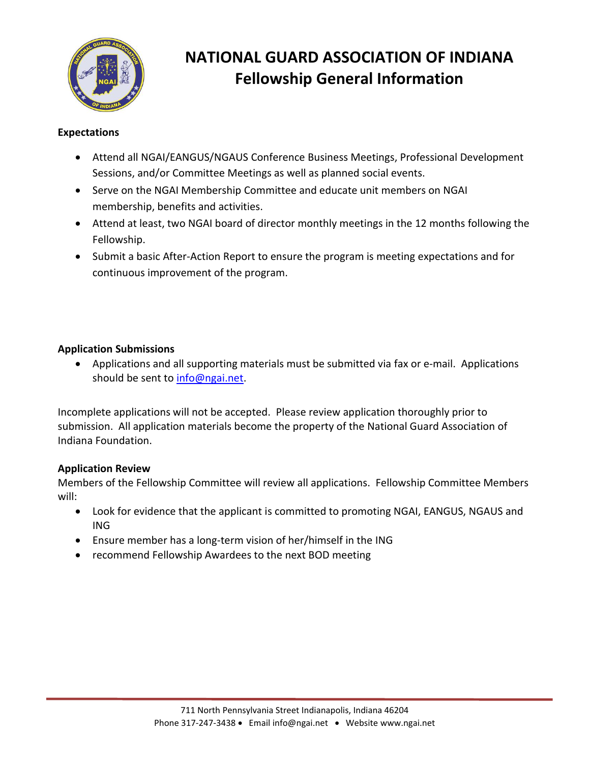

# **NATIONAL GUARD ASSOCIATION OF INDIANA Fellowship General Information**

#### **Expectations**

- Attend all NGAI/EANGUS/NGAUS Conference Business Meetings, Professional Development Sessions, and/or Committee Meetings as well as planned social events.
- Serve on the NGAI Membership Committee and educate unit members on NGAI membership, benefits and activities.
- Attend at least, two NGAI board of director monthly meetings in the 12 months following the Fellowship.
- Submit a basic After-Action Report to ensure the program is meeting expectations and for continuous improvement of the program.

### **Application Submissions**

• Applications and all supporting materials must be submitted via fax or e-mail. Applications should be sent to [info@ngai.net.](mailto:info@ngai.net)

Incomplete applications will not be accepted. Please review application thoroughly prior to submission. All application materials become the property of the National Guard Association of Indiana Foundation.

#### **Application Review**

Members of the Fellowship Committee will review all applications. Fellowship Committee Members will:

- Look for evidence that the applicant is committed to promoting NGAI, EANGUS, NGAUS and ING
- Ensure member has a long-term vision of her/himself in the ING
- recommend Fellowship Awardees to the next BOD meeting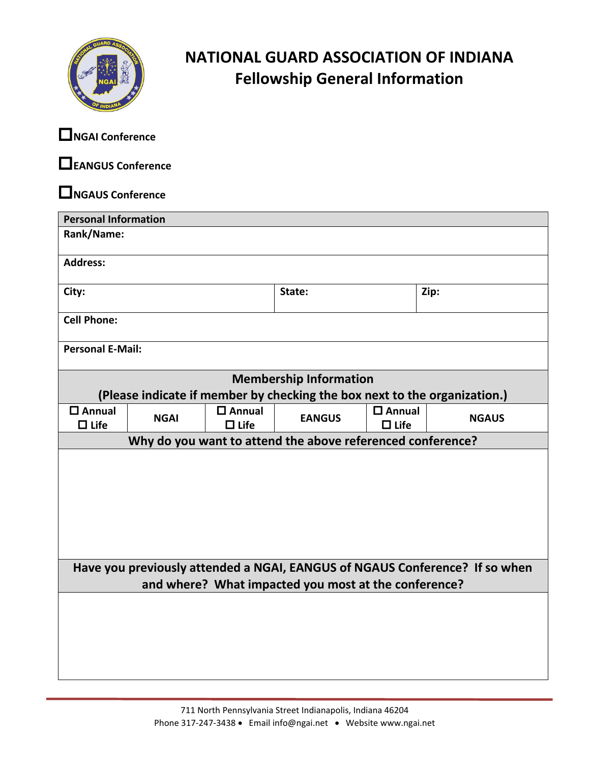

## **NATIONAL GUARD ASSOCIATION OF INDIANA Fellowship General Information**

**NGAI Conference** 

**EANGUS Conference** 

**NGAUS Conference** 

| <b>Personal Information</b>                                                                                                         |             |                                 |               |                                 |              |  |  |  |
|-------------------------------------------------------------------------------------------------------------------------------------|-------------|---------------------------------|---------------|---------------------------------|--------------|--|--|--|
| Rank/Name:                                                                                                                          |             |                                 |               |                                 |              |  |  |  |
| <b>Address:</b>                                                                                                                     |             |                                 |               |                                 |              |  |  |  |
| City:                                                                                                                               |             |                                 | State:        |                                 | Zip:         |  |  |  |
| <b>Cell Phone:</b>                                                                                                                  |             |                                 |               |                                 |              |  |  |  |
| <b>Personal E-Mail:</b>                                                                                                             |             |                                 |               |                                 |              |  |  |  |
| <b>Membership Information</b>                                                                                                       |             |                                 |               |                                 |              |  |  |  |
| (Please indicate if member by checking the box next to the organization.)                                                           |             |                                 |               |                                 |              |  |  |  |
| $\square$ Annual<br>$\Box$ Life                                                                                                     | <b>NGAI</b> | $\square$ Annual<br>$\Box$ Life | <b>EANGUS</b> | $\square$ Annual<br>$\Box$ Life | <b>NGAUS</b> |  |  |  |
| Why do you want to attend the above referenced conference?                                                                          |             |                                 |               |                                 |              |  |  |  |
|                                                                                                                                     |             |                                 |               |                                 |              |  |  |  |
| Have you previously attended a NGAI, EANGUS of NGAUS Conference? If so when<br>and where? What impacted you most at the conference? |             |                                 |               |                                 |              |  |  |  |
|                                                                                                                                     |             |                                 |               |                                 |              |  |  |  |